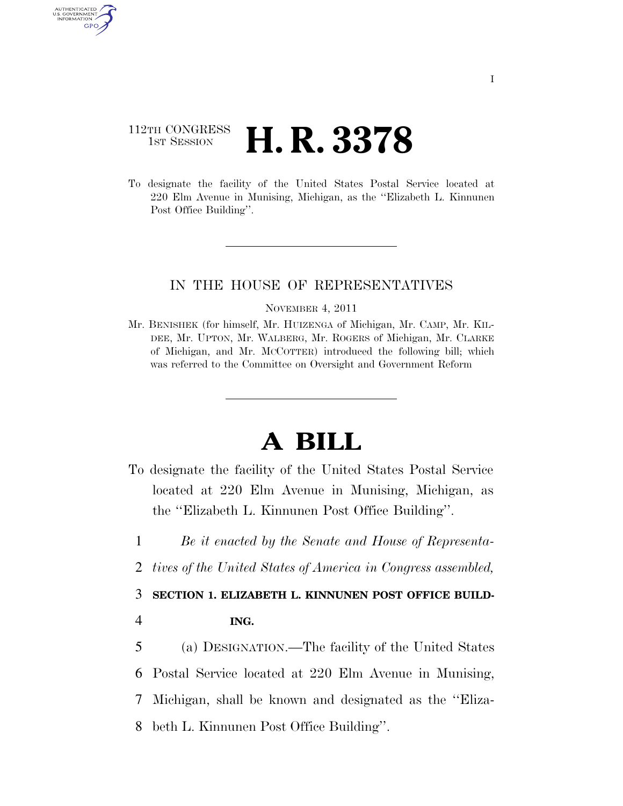## 112TH CONGRESS **1st Session H. R. 3378**

To designate the facility of the United States Postal Service located at 220 Elm Avenue in Munising, Michigan, as the ''Elizabeth L. Kinnunen Post Office Building''.

## IN THE HOUSE OF REPRESENTATIVES

## NOVEMBER 4, 2011

Mr. BENISHEK (for himself, Mr. HUIZENGA of Michigan, Mr. CAMP, Mr. KIL-DEE, Mr. UPTON, Mr. WALBERG, Mr. ROGERS of Michigan, Mr. CLARKE of Michigan, and Mr. MCCOTTER) introduced the following bill; which was referred to the Committee on Oversight and Government Reform

## **A BILL**

- To designate the facility of the United States Postal Service located at 220 Elm Avenue in Munising, Michigan, as the ''Elizabeth L. Kinnunen Post Office Building''.
- 1 *Be it enacted by the Senate and House of Representa-*
- 2 *tives of the United States of America in Congress assembled,*

3 **SECTION 1. ELIZABETH L. KINNUNEN POST OFFICE BUILD-**

4 **ING.** 

AUTHENTICATED U.S. GOVERNMENT **GPO** 

> (a) DESIGNATION.—The facility of the United States Postal Service located at 220 Elm Avenue in Munising, Michigan, shall be known and designated as the ''Eliza-beth L. Kinnunen Post Office Building''.